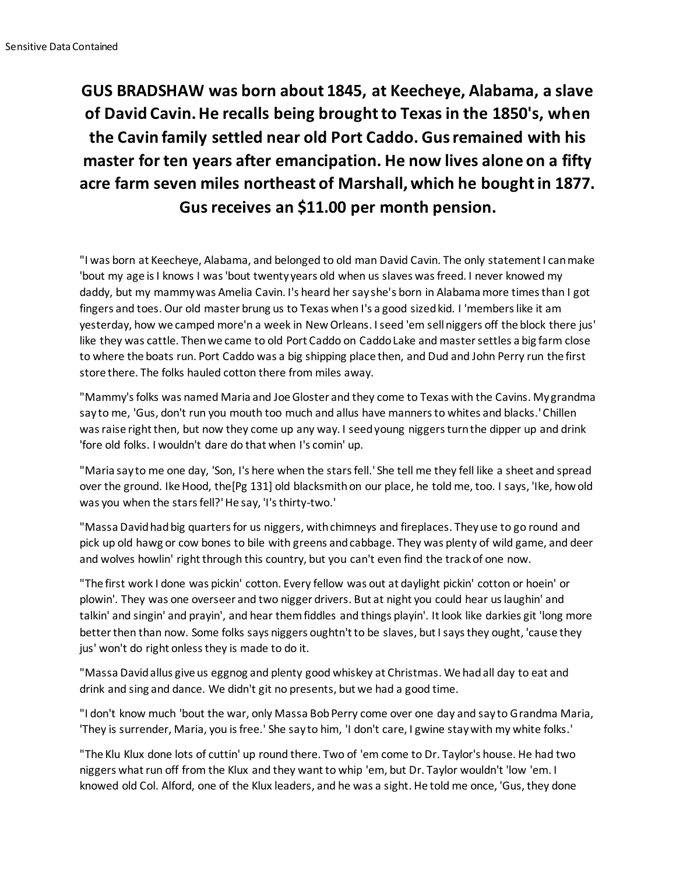## **GUS BRADSHAW was born about 1845, at Keecheye, Alabama, a slave of David Cavin. He recalls being brought to Texas in the 1850's, when the Cavin family settled near old Port Caddo. Gus remained with his master for ten years after emancipation. He now lives alone on a fifty acre farm seven miles northeast of Marshall, which he bought in 1877. Gus receives an \$11.00 per month pension.**

"I was born at Keecheye, Alabama, and belonged to old man David Cavin. The only statement I can make 'bout my age is I knows I was 'bout twenty years old when us slaves was freed. I never knowed my daddy, but my mammy was Amelia Cavin. I's heard her say she's born in Alabama more times than I got fingers and toes. Our old master brung us to Texas when I's a good sized kid. I 'members like it am yesterday, how we camped more'n a week in New Orleans. I seed 'em sell niggers off the block there jus' like they was cattle. Then we came to old Port Caddo on Caddo Lake and master settles a big farm close to where the boats run. Port Caddo was a big shipping place then, and Dud and John Perry run the first store there. The folks hauled cotton there from miles away.

"Mammy's folks was named Maria and Joe Gloster and they come to Texas with the Cavins. My grandma say to me, 'Gus, don't run you mouth too much and allus have manners to whites and blacks.' Chillen was raise right then, but now they come up any way. I seed young niggers turn the dipper up and drink 'fore old folks. I wouldn't dare do that when I's comin' up.

"Maria say to me one day, 'Son, I's here when the stars fell.' She tell me they fell like a sheet and spread over the ground. Ike Hood, the[Pg 131] old blacksmith on our place, he told me, too. I says, 'Ike, how old was you when the stars fell?' He say, 'I's thirty-two.'

"Massa David had big quarters for us niggers, with chimneys and fireplaces. They use to go round and pick up old hawg or cow bones to bile with greens and cabbage. They was plenty of wild game, and deer and wolves howlin' right through this country, but you can't even find the track of one now.

"The first work I done was pickin' cotton. Every fellow was out at daylight pickin' cotton or hoein' or plowin'. They was one overseer and two nigger drivers. But at night you could hear us laughin' and talkin' and singin' and prayin', and hear them fiddles and things playin'. It look like darkies git 'long more better then than now. Some folks says niggers oughtn't to be slaves, but I says they ought, 'cause they jus' won't do right onless they is made to do it.

"Massa David allus give us eggnog and plenty good whiskey at Christmas. We had all day to eat and drink and sing and dance. We didn't git no presents, but we had a good time.

"I don't know much 'bout the war, only Massa Bob Perry come over one day and say to Grandma Maria, 'They is surrender, Maria, you is free.' She say to him, 'I don't care, I gwine stay with my white folks.'

"The Klu Klux done lots of cuttin' up round there. Two of 'em come to Dr. Taylor's house. He had two niggers what run off from the Klux and they want to whip 'em, but Dr. Taylor wouldn't 'low 'em. I knowed old Col. Alford, one of the Klux leaders, and he was a sight. He told me once, 'Gus, they done